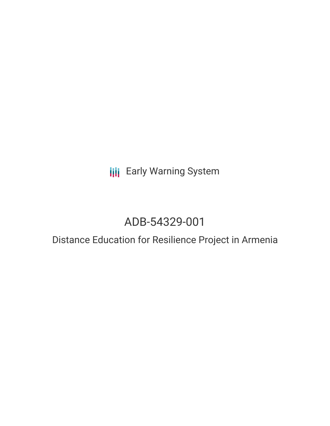**III** Early Warning System

# ADB-54329-001

## Distance Education for Resilience Project in Armenia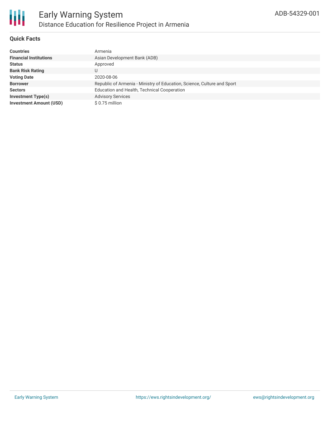

#### **Quick Facts**

| <b>Countries</b>               | Armenia                                                                 |
|--------------------------------|-------------------------------------------------------------------------|
| <b>Financial Institutions</b>  | Asian Development Bank (ADB)                                            |
| <b>Status</b>                  | Approved                                                                |
| <b>Bank Risk Rating</b>        |                                                                         |
| <b>Voting Date</b>             | 2020-08-06                                                              |
| <b>Borrower</b>                | Republic of Armenia - Ministry of Education, Science, Culture and Sport |
| <b>Sectors</b>                 | Education and Health, Technical Cooperation                             |
| <b>Investment Type(s)</b>      | <b>Advisory Services</b>                                                |
| <b>Investment Amount (USD)</b> | \$0.75 million                                                          |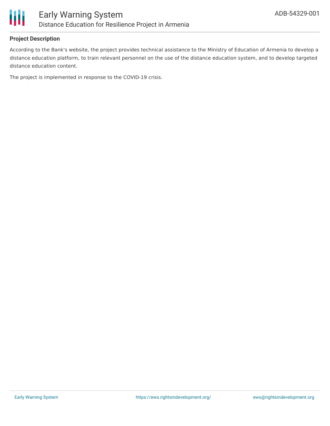

#### **Project Description**

According to the Bank's website, the project provides technical assistance to the Ministry of Education of Armenia to develop a distance education platform, to train relevant personnel on the use of the distance education system, and to develop targeted distance education content.

The project is implemented in response to the COVID-19 crisis.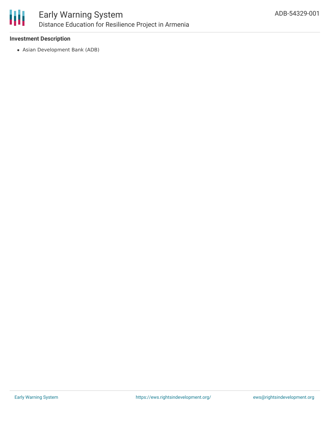

## Early Warning System Distance Education for Resilience Project in Armenia

#### **Investment Description**

Asian Development Bank (ADB)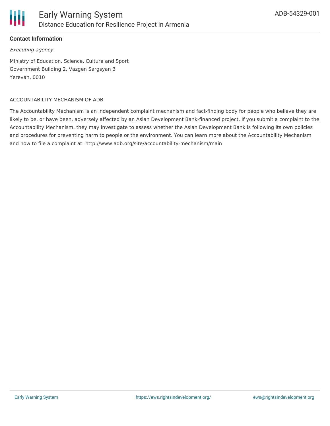

#### **Contact Information**

Executing agency

Ministry of Education, Science, Culture and Sport Government Building 2, Vazgen Sargsyan 3 Yerevan, 0010

#### ACCOUNTABILITY MECHANISM OF ADB

The Accountability Mechanism is an independent complaint mechanism and fact-finding body for people who believe they are likely to be, or have been, adversely affected by an Asian Development Bank-financed project. If you submit a complaint to the Accountability Mechanism, they may investigate to assess whether the Asian Development Bank is following its own policies and procedures for preventing harm to people or the environment. You can learn more about the Accountability Mechanism and how to file a complaint at: http://www.adb.org/site/accountability-mechanism/main